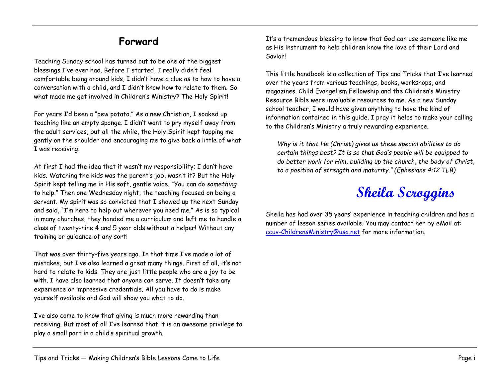## **Forward**

Teaching Sunday school has turned out to be one of the biggest blessings I've ever had. Before I started, I really didn't feel comfortable being around kids, I didn't have a clue as to how to have a conversation with a child, and I didn't know how to relate to them. So what made me get involved in Children's Ministry? The Holy Spirit!

For years I'd been a "pew potato." As a new Christian, I soaked up teaching like an empty sponge. I didn't want to pry myself away from the adult services, but all the while, the Holy Spirit kept tapping me gently on the shoulder and encouraging me to give back a little of what I was receiving.

At first I had the idea that it wasn't my responsibility; I don't have kids. Watching the kids was the parent's job, wasn't it? But the Holy Spirit kept telling me in His soft, gentle voice, "You can do *something* to help." Then one Wednesday night, the teaching focused on being a servant. My spirit was so convicted that I showed up the next Sunday and said, "I'm here to help out wherever you need me." As is so typical in many churches, they handed me a curriculum and left me to handle a class of twenty-nine 4 and 5 year olds without a helper! Without any training or guidance of any sort!

That was over thirty-five years ago. In that time I've made a lot of mistakes, but I've also learned a great many things. First of all, it's not hard to relate to kids. They are just little people who are a joy to be with. I have also learned that anyone can serve. It doesn't take any experience or impressive credentials. All you have to do is make yourself available and God will show you what to do.

I've also come to know that giving is much more rewarding than receiving. But most of all I've learned that it is an awesome privilege to play a small part in a child's spiritual growth.

It's a tremendous blessing to know that God can use someone like me as His instrument to help children know the love of their Lord and Savior!

This little handbook is a collection of Tips and Tricks that I've learned over the years from various teachings, books, workshops, and magazines. Child Evangelism Fellowship and the Children's Ministry Resource Bible were invaluable resources to me. As a new Sunday school teacher, I would have given anything to have the kind of information contained in this guide. I pray it helps to make your calling to the Children's Ministry a truly rewarding experience.

*Why is it that He (Christ) gives us these special abilities to do certain things best? It is so that God's people will be equipped to do better work for Him, building up the church, the body of Christ, to a position of strength and maturity." (Ephesians 4:12 TLB)*

# **Sheila Scroggins**

Sheila has had over 35 years' experience in teaching children and has a number of lesson series available. You may contact her by eMail at: ccuv-[ChildrensMinistry@usa.net](mailto:ccuv-ChildrensMinistry@usa.net) for more information.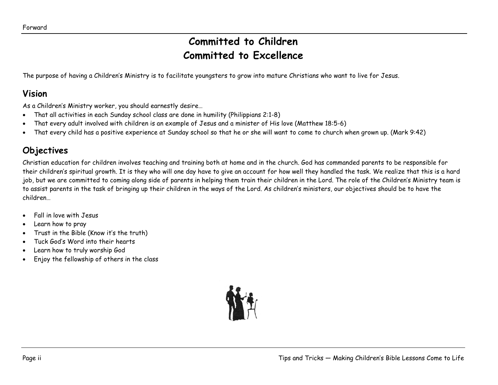## **Committed to Children Committed to Excellence**

The purpose of having a Children's Ministry is to facilitate youngsters to grow into mature Christians who want to live for Jesus.

### **Vision**

As a Children's Ministry worker, you should earnestly desire…

- That all activities in each Sunday school class are done in humility (Philippians 2:1-8)
- That every adult involved with children is an example of Jesus and a minister of His love (Matthew 18:5-6)
- That every child has a positive experience at Sunday school so that he or she will want to come to church when grown up. (Mark 9:42)

## **Objectives**

Christian education for children involves teaching and training both at home and in the church. God has commanded parents to be responsible for their children's spiritual growth. It is they who will one day have to give an account for how well they handled the task. We realize that this is a hard job, but we are committed to coming along side of parents in helping them train their children in the Lord. The role of the Children's Ministry team is to assist parents in the task of bringing up their children in the ways of the Lord. As children's ministers, our objectives should be to have the children…

- Fall in love with Jesus
- Learn how to pray
- Trust in the Bible (Know it's the truth)
- Tuck God's Word into their hearts
- Learn how to truly worship God
- Enjoy the fellowship of others in the class

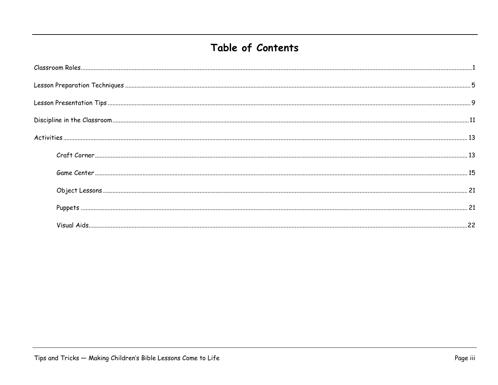## Table of Contents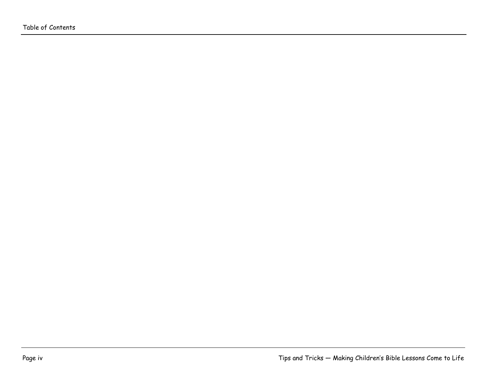Table of Contents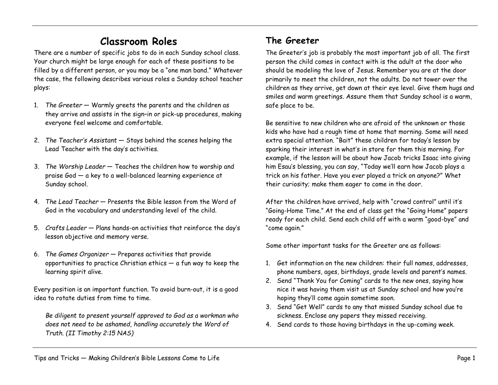## **Classroom Roles**

There are a number of specific jobs to do in each Sunday school class. Your church might be large enough for each of these positions to be filled by a different person, or you may be a "one man band." Whatever the case, the following describes various roles a Sunday school teacher plays:

- 1. *The Greeter* Warmly greets the parents and the children as they arrive and assists in the sign–in or pick-up procedures, making everyone feel welcome and comfortable.
- 2. *The Teacher's Assistant* Stays behind the scenes helping the Lead Teacher with the day's activities.
- 3. *The Worship Leader* Teaches the children how to worship and praise God — a key to a well-balanced learning experience at Sunday school.
- 4. *The Lead Teacher* Presents the Bible lesson from the Word of God in the vocabulary and understanding level of the child.
- 5. *Crafts Leader* Plans hands-on activities that reinforce the day's lesson objective and memory verse.
- 6. *The Games Organizer* Prepares activities that provide opportunities to practice Christian ethics  $-$  a fun way to keep the learning spirit alive.

Every position is an important function. To avoid burn-out, it is a good idea to rotate duties from time to time.

*Be diligent to present yourself approved to God as a workman who does not need to be ashamed, handling accurately the Word of Truth. (II Timothy 2:15 NAS)*

The Greeter's job is probably the most important job of all. The first person the child comes in contact with is the adult at the door who should be modeling the love of Jesus. Remember you are at the door primarily to meet the children, not the adults. Do not tower over the children as they arrive, get down at their eye level. Give them hugs and smiles and warm greetings. Assure them that Sunday school is a warm, safe place to be.

Be sensitive to new children who are afraid of the unknown or those kids who have had a rough time at home that morning. Some will need extra special attention. "Bait" these children for today's lesson by sparking their interest in what's in store for them this morning. For example, if the lesson will be about how Jacob tricks Isaac into giving him Esau's blessing, you can say, "Today we'll earn how Jacob plays a trick on his father. Have you ever played a trick on anyone?" Whet their curiosity; make them eager to come in the door.

After the children have arrived, help with "crowd control" until it's "Going-Home Time." At the end of class get the "Going Home" papers ready for each child. Send each child off with a warm "good-bye" and "come again."

Some other important tasks for the Greeter are as follows:

- 1. Get information on the new children: their full names, addresses, phone numbers, ages, birthdays, grade levels and parent's names.
- 2. Send "Thank You for Coming" cards to the new ones, saying how nice it was having them visit us at Sunday school and how you're hoping they'll come again sometime soon.
- 3. Send "Get Well" cards to any that missed Sunday school due to sickness. Enclose any papers they missed receiving.
- 4. Send cards to those having birthdays in the up-coming week.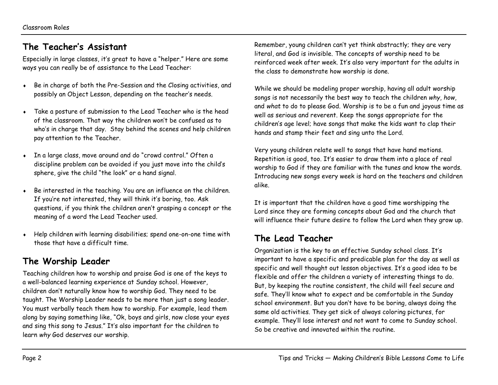### **The Teacher's Assistant**

Especially in large classes, it's great to have a "helper." Here are some ways you can really be of assistance to the Lead Teacher:

- ♦ Be in charge of both the Pre-Session and the Closing activities, and possibly an Object Lesson, depending on the teacher's needs.
- ♦ Take a posture of submission to the Lead Teacher who is the head of the classroom. That way the children won't be confused as to who's in charge that day. Stay behind the scenes and help children pay attention to the Teacher.
- ♦ In a large class, move around and do "crowd control." Often a discipline problem can be avoided if you just move into the child's sphere, give the child "the look" or a hand signal.
- ♦ Be interested in the teaching. You are an influence on the children. If you're not interested, they will think it's boring, too. Ask questions, if you think the children aren't grasping a concept or the meaning of a word the Lead Teacher used.
- ♦ Help children with learning disabilities; spend one-on-one time with those that have a difficult time.

## **The Worship Leader**

Teaching children how to worship and praise God is one of the keys to a well-balanced learning experience at Sunday school. However, children don't naturally know how to worship God. They need to be taught. The Worship Leader needs to be more than just a song leader. You must verbally teach them how to worship. For example, lead them along by saying something like, "Ok, boys and girls, now close your eyes and sing this song to Jesus." It's also important for the children to learn *why* God deserves our worship.

Remember, young children can't yet think abstractly; they are very literal, and God is invisible. The concepts of worship need to be reinforced week after week. It's also very important for the adults in the class to demonstrate how worship is done.

While we should be modeling proper worship, having all adult worship songs is not necessarily the best way to teach the children *why*, *how*, and *what* to do to please God. Worship is to be a fun and joyous time as well as serious and reverent. Keep the songs appropriate for the children's age level; have songs that make the kids want to clap their hands and stamp their feet and sing unto the Lord.

Very young children relate well to songs that have hand motions. Repetition is good, too. It's easier to draw them into a place of real worship to God if they are familiar with the tunes and know the words. Introducing new songs every week is hard on the teachers and children alike.

It is important that the children have a good time worshipping the Lord since they are forming concepts about God and the church that will influence their future desire to follow the Lord when they grow up.

## **The Lead Teacher**

Organization is the key to an effective Sunday school class. It's important to have a specific and predicable plan for the day as well as specific and well thought out lesson objectives. It's a good idea to be flexible and offer the children a variety of interesting things to do. But, by keeping the routine consistent, the child will feel secure and safe. They'll know what to expect and be comfortable in the Sunday school environment. But you don't have to be boring, always doing the same old activities. They get sick of always coloring pictures, for example. They'll lose interest and not want to come to Sunday school. So be creative and innovated within the routine.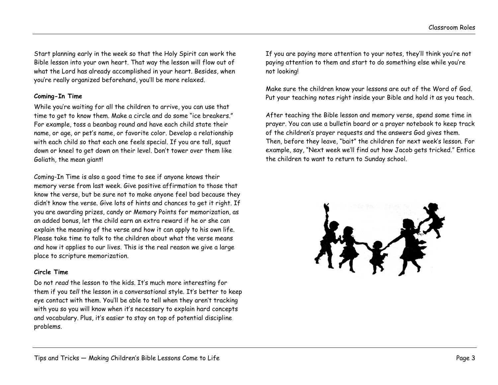Start planning early in the week so that the Holy Spirit can work the Bible lesson into your own heart. That way the lesson will flow out of what the Lord has already accomplished in your heart. Besides, when you're really organized beforehand, you'll be more relaxed.

#### **Coming-In Time**

While you're waiting for all the children to arrive, you can use that time to get to know them. Make a circle and do some "ice breakers." For example, toss a beanbag round and have each child state their name, or age, or pet's name, or favorite color. Develop a relationship with each child so that each one feels special. If you are tall, squat down or kneel to get down on their level. Don't tower over them like Goliath, the mean giant!

Coming-In Time is also a good time to see if anyone knows their memory verse from last week. Give positive affirmation to those that know the verse, but be sure not to make anyone feel bad because they didn't know the verse. Give lots of hints and chances to get it right. If you are awarding prizes, candy or Memory Points for memorization, as an added bonus, let the child earn an extra reward if he or she can explain the meaning of the verse and how it can apply to his own life. Please take time to talk to the children about what the verse means and how it applies to our lives. This is the real reason we give a large place to scripture memorization.

#### **Circle Time**

Do not *read* the lesson to the kids. It's much more interesting for them if you *tell* the lesson in a conversational style. It's better to keep eye contact with them. You'll be able to tell when they aren't tracking with you so you will know when it's necessary to explain hard concepts and vocabulary. Plus, it's easier to stay on top of potential discipline problems.

If you are paying more attention to your notes, they'll think you're not paying attention to them and start to do something else while you're not looking!

Make sure the children know your lessons are out of the Word of God. Put your teaching notes right inside your Bible and hold it as you teach.

After teaching the Bible lesson and memory verse, spend some time in prayer. You can use a bulletin board or a prayer notebook to keep track of the children's prayer requests and the answers God gives them. Then, before they leave, "bait" the children for next week's lesson. For example, say, "Next week we'll find out how Jacob gets tricked." Entice the children to want to return to Sunday school.

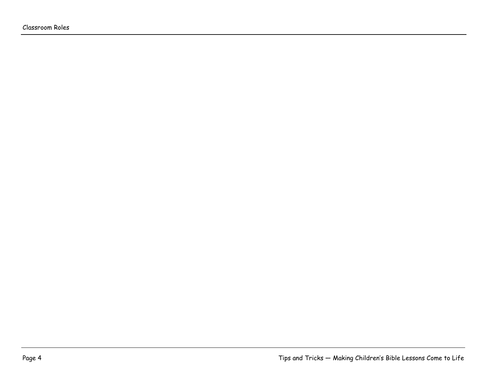Classroom Roles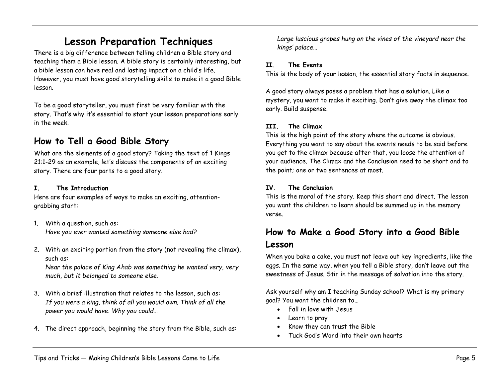## **Lesson Preparation Techniques**

There is a big difference between telling children a Bible story and teaching them a Bible lesson. A bible story is certainly interesting, but a bible lesson can have real and lasting impact on a child's life. However, you must have good storytelling skills to make it a good Bible lesson.

To be a good storyteller, you must first be very familiar with the story. That's why it's essential to start your lesson preparations early in the week.

### **How to Tell a Good Bible Story**

What are the elements of a good story? Taking the text of 1 Kings 21:1-29 as an example, let's discuss the components of an exciting story. There are four parts to a good story.

#### **I. The Introduction**

Here are four examples of ways to make an exciting, attentiongrabbing start:

- 1. With a question, such as: *Have you ever wanted something someone else had?*
- 2. With an exciting portion from the story (not revealing the climax), such as:

*Near the palace of King Ahab was something he wanted very, very much, but it belonged to someone else.*

- 3. With a brief illustration that relates to the lesson, such as: *If you were a king, think of all you would own. Think of all the power you would have. Why you could…*
- 4. The direct approach, beginning the story from the Bible, such as:

*Large luscious grapes hung on the vines of the vineyard near the kings' palace…*

#### **II. The Events**

This is the body of your lesson, the essential story facts in sequence.

A good story always poses a problem that has a solution. Like a mystery, you want to make it exciting. Don't give away the climax too early. Build suspense.

#### **III. The Climax**

This is the high point of the story where the outcome is obvious. Everything you want to say about the events needs to be said before you get to the climax because after that, you loose the attention of your audience. The Climax and the Conclusion need to be short and to the point; one or two sentences at most.

#### **IV. The Conclusion**

This is the moral of the story. Keep this short and direct. The lesson you want the children to learn should be summed up in the memory verse.

## **How to Make a Good Story into a Good Bible Lesson**

When you bake a cake, you must not leave out key ingredients, like the eggs. In the same way, when you tell a Bible story, don't leave out the sweetness of Jesus. Stir in the message of salvation into the story.

Ask yourself why am I teaching Sunday school? What is my primary goal? You want the children to…

- Fall in love with Jesus
- Learn to pray
- Know they can trust the Bible
- Tuck God's Word into their own hearts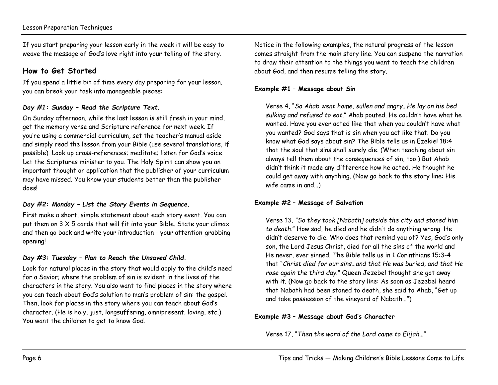If you start preparing your lesson early in the week it will be easy to weave the message of God's love right into your telling of the story.

### **How to Get Started**

If you spend a little bit of time every day preparing for your lesson, you can break your task into manageable pieces:

#### *Day #1: Sunday – Read the Scripture Text.*

On Sunday afternoon, while the last lesson is still fresh in your mind, get the memory verse and Scripture reference for next week. If you're using a commercial curriculum, set the teacher's manual aside and simply read the lesson from your Bible (use several translations, if possible). Look up cross-references; meditate; listen for God's voice. Let the Scriptures minister to you. The Holy Spirit can show you an important thought or application that the publisher of your curriculum may have missed. You know your students better than the publisher does!

#### *Day #2: Monday – List the Story Events in Sequence.*

First make a short, simple statement about each story event. You can put them on 3 X 5 cards that will fit into your Bible. State your climax and then go back and write your introduction - your attention-grabbing opening!

#### *Day #3: Tuesday – Plan to Reach the Unsaved Child.*

Look for natural places in the story that would apply to the child's need for a Savior; where the problem of sin is evident in the lives of the characters in the story. You also want to find places in the story where you can teach about God's solution to man's problem of sin: the gospel. Then, look for places in the story where you can teach about God's character. (He is holy, just, longsuffering, omnipresent, loving, etc.) You want the children to get to know God.

Notice in the following examples, the natural progress of the lesson comes straight from the main story line. You can suspend the narration to draw their attention to the things you want to teach the children about God, and then resume telling the story.

#### **Example #1 – Message about Sin**

Verse 4, "*So Ahab went home, sullen and angry…He lay on his bed sulking and refused to eat*." Ahab pouted. He couldn't have what he wanted. Have you ever acted like that when you couldn't have what you wanted? God says that is sin when you act like that. Do you know what God says about sin? The Bible tells us in Ezekiel 18:4 that the soul that sins shall surely die. (When teaching about sin always tell them about the consequences of sin, too.) But Ahab didn't think it made any difference how he acted. He thought he could get away with anything. (Now go back to the story line: His wife came in and…)

#### **Example #2 – Message of Salvation**

Verse 13*, "So they took [Nabath] outside the city and stoned him to death.*" How sad, he died and he didn't do anything wrong. He didn't deserve to die. Who does that remind you of? Yes, God's only son, the Lord Jesus Christ, died for all the sins of the world and He never, ever sinned. The Bible tells us in 1 Corinthians 15:3-4 that "*Christ died for our sins…and that He was buried, and that He rose again the third day*." Queen Jezebel thought she got away with it. (Now go back to the story line: As soon as Jezebel heard that Nabath had been stoned to death, she said to Ahab, "Get up and take possession of the vineyard of Nabath…")

#### **Example #3 – Message about God's Character**

Verse 17, "*Then the word of the Lord came to Elijah…*"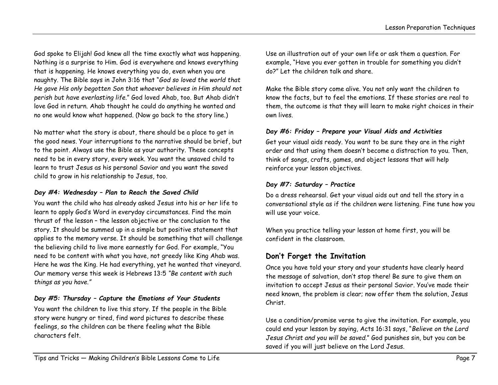God spoke to Elijah! God knew all the time exactly what was happening. Nothing is a surprise to Him. God is everywhere and knows everything that is happening. He knows everything you do, even when you are naughty. The Bible says in John 3:16 that "*God so loved the world that He gave His only begotten Son that whoever believes in Him should not perish but have everlasting life*." God loved Ahab, too. But Ahab didn't love God in return. Ahab thought he could do anything he wanted and no one would know what happened. (Now go back to the story line.)

No matter what the story is about, there should be a place to get in the good news. Your interruptions to the narrative should be brief, but to the point. Always use the Bible as your authority. These concepts need to be in every story, every week. You want the unsaved child to learn to trust Jesus as his personal Savior and you want the saved child to grow in his relationship to Jesus, too.

#### *Day #4: Wednesday – Plan to Reach the Saved Child*

You want the child who has already asked Jesus into his or her life to learn to apply God's Word in everyday circumstances. Find the main thrust of the lesson – the lesson objective or the conclusion to the story. It should be summed up in a simple but positive statement that applies to the memory verse. It should be something that will challenge the believing child to live more earnestly for God. For example, "You need to be content with what you have, not greedy like King Ahab was. Here he was the King. He had everything, yet he wanted that vineyard. Our memory verse this week is Hebrews 13:5 *"Be content with such things as you have."*

#### *Day #5: Thursday – Capture the Emotions of Your Students*

You want the children to live this story. If the people in the Bible story were hungry or tired, find word pictures to describe these feelings, so the children can be there feeling what the Bible characters felt.

Use an illustration out of your own life or ask them a question. For example, "Have you ever gotten in trouble for something you didn't do?" Let the children talk and share.

Make the Bible story come alive. You not only want the children to know the facts, but to feel the emotions. If these stories are real to them, the outcome is that they will learn to make right choices in their own lives.

#### *Day #6: Friday – Prepare your Visual Aids and Activities*

Get your visual aids ready. You want to be sure they are in the right order and that using them doesn't become a distraction to you. Then, think of songs, crafts, games, and object lessons that will help reinforce your lesson objectives.

#### *Day #7: Saturday – Practice*

Do a dress rehearsal. Get your visual aids out and tell the story in a conversational style as if the children were listening. Fine tune how you will use your voice.

When you practice telling your lesson at home first, you will be confident in the classroom.

### **Don't Forget the Invitation**

Once you have told your story and your students have clearly heard the message of salvation, don't stop there! Be sure to give them an invitation to accept Jesus as their personal Savior. You've made their need known, the problem is clear; now offer them the solution, Jesus Christ.

Use a condition/promise verse to give the invitation. For example, you could end your lesson by saying, Acts 16:31 says, "*Believe on the Lord Jesus Christ and you will be saved.*" God punishes sin, but you can be saved if you will just believe on the Lord Jesus.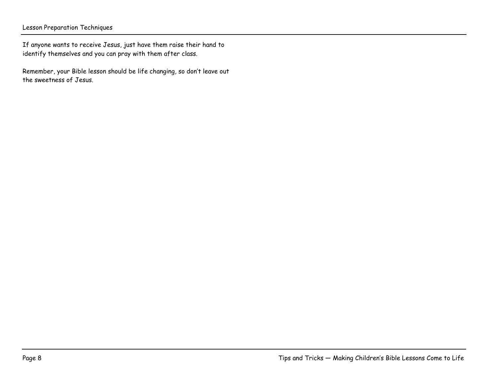If anyone wants to receive Jesus, just have them raise their hand to identify themselves and you can pray with them after class.

Remember, your Bible lesson should be life changing, so don't leave out the sweetness of Jesus.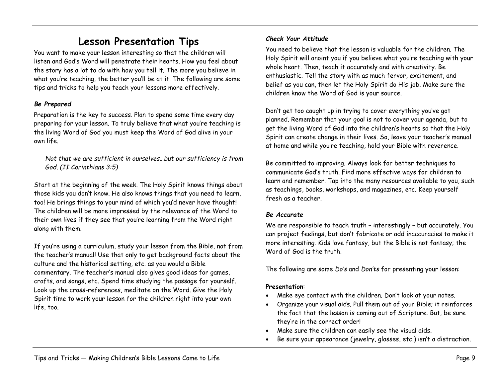## **Lesson Presentation Tips**

You want to make your lesson interesting so that the children will listen and God's Word will penetrate their hearts. How you feel about the story has a lot to do with how you tell it. The more you believe in what you're teaching, the better you'll be at it. The following are some tips and tricks to help you teach your lessons more effectively.

#### *Be Prepared*

Preparation is the key to success. Plan to spend some time every day preparing for your lesson. To truly believe that what you're teaching is the living Word of God you must keep the Word of God alive in your own life.

*Not that we are sufficient in ourselves…but our sufficiency is from God. (II Corinthians 3:5)*

Start at the beginning of the week. The Holy Spirit knows things about those kids you don't know. He also knows things that you need to learn, too! He brings things to your mind of which you'd never have thought! The children will be more impressed by the relevance of the Word to their own lives if they see that you're learning from the Word right along with them.

If you're using a curriculum, study your lesson from the Bible, not from the teacher's manual! Use that only to get background facts about the culture and the historical setting, etc. as you would a Bible commentary. The teacher's manual also gives good ideas for games, crafts, and songs, etc. Spend time studying the passage for yourself. Look up the cross-references, meditate on the Word. Give the Holy Spirit time to work your lesson for the children right into your own life, too.

#### *Check Your Attitude*

You need to believe that the lesson is valuable for the children. The Holy Spirit will anoint you if you believe what you're teaching with your whole heart. Then, teach it accurately and with creativity. Be enthusiastic. Tell the story with as much fervor, excitement, and belief as you can, then let the Holy Spirit do His job. Make sure the children know the Word of God is your source.

Don't get too caught up in trying to cover everything you've got planned. Remember that your goal is not to cover your agenda, but to get the living Word of God into the children's hearts so that the Holy Spirit can create change in their lives. So, leave your teacher's manual at home and while you're teaching, hold your Bible with reverence.

Be committed to improving. Always look for better techniques to communicate God's truth. Find more effective ways for children to learn and remember. Tap into the many resources available to you, such as teachings, books, workshops, and magazines, etc. Keep yourself fresh as a teacher.

#### *Be Accurate*

We are responsible to teach truth – interestingly – but accurately. You can project feelings, but don't fabricate or add inaccuracies to make it more interesting. Kids love fantasy, but the Bible is not fantasy; the Word of God is the truth.

The following are some *Do's* and *Don'ts* for presenting your lesson:

#### **Presentation**:

- Make eye contact with the children. Don't look at your notes.
- Organize your visual aids. Pull them out of your Bible; it reinforces the fact that the lesson is coming out of Scripture. But, be sure they're in the correct order!
- Make sure the children can easily see the visual aids.
- Be sure your appearance (jewelry, glasses, etc.) isn't a distraction.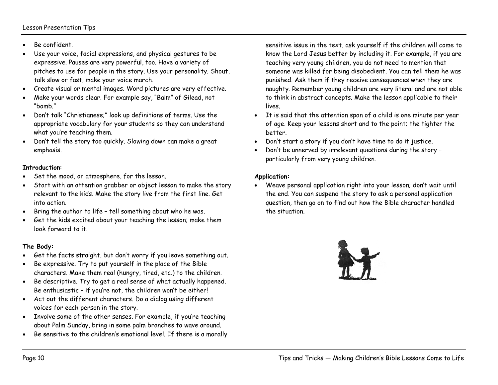- Be confident.
- Use your voice, facial expressions, and physical gestures to be expressive. Pauses are very powerful, too. Have a variety of pitches to use for people in the story. Use your personality. Shout, talk slow or fast, make your voice march.
- Create visual or mental images. Word pictures are very effective.
- Make your words clear. For example say, "Balm" of Gilead, not "bomb."
- Don't talk "Christianese;" look up definitions of terms. Use the appropriate vocabulary for your students so they can understand what you're teaching them.
- Don't tell the story too quickly. Slowing down can make a great emphasis.

#### **Introduction**:

- Set the mood, or atmosphere, for the lesson.
- Start with an attention grabber or object lesson to make the story relevant to the kids. Make the story live from the first line. Get into action.
- Bring the author to life tell something about who he was.
- Get the kids excited about your teaching the lesson; make them look forward to it.

#### **The Body:**

- Get the facts straight, but don't worry if you leave something out.
- Be expressive. Try to put yourself in the place of the Bible characters. Make them real (hungry, tired, etc.) to the children.
- Be descriptive. Try to get a real sense of what actually happened. Be enthusiastic – if you're not, the children won't be either!
- Act out the different characters. Do a dialog using different voices for each person in the story.
- Involve some of the other senses. For example, if you're teaching about Palm Sunday, bring in some palm branches to wave around.
- Be sensitive to the children's emotional level. If there is a morally

sensitive issue in the text, ask yourself if the children will come to know the Lord Jesus better by including it. For example, if you are teaching very young children, you do not need to mention that someone was killed for being disobedient. You can tell them he was punished. Ask them if they receive consequences when they are naughty. Remember young children are very literal and are not able to think in abstract concepts. Make the lesson applicable to their lives.

- It is said that the attention span of a child is one minute per year of age. Keep your lessons short and to the point; the tighter the better.
- Don't start a story if you don't have time to do it justice.
- Don't be unnerved by irrelevant questions during the story particularly from very young children.

#### **Application:**

• Weave personal application right into your lesson; don't wait until the end. You can suspend the story to ask a personal application question, then go on to find out how the Bible character handled the situation.

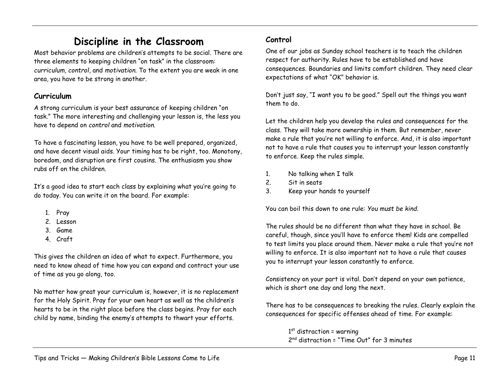## **Discipline in the Classroom**

Most behavior problems are children's attempts to be social. There are three elements to keeping children "on task" in the classroom: *curriculum*, *control*, and *motivation*. To the extent you are weak in one area, you have to be strong in another.

#### **Curriculum**

A strong curriculum is your best assurance of keeping children "on task." The more interesting and challenging your lesson is, the less you have to depend on *control* and *motivation*.

To have a fascinating lesson, you have to be well prepared, organized, and have decent visual aids. Your timing has to be right, too. Monotony, boredom, and disruption are first cousins. The enthusiasm you show rubs off on the children.

It's a good idea to start each class by explaining what you're going to do today. You can write it on the board. For example:

- 1. Pray
- 2. Lesson
- 3. Game
- 4. Craft

This gives the children an idea of what to expect. Furthermore, you need to know ahead of time how you can expand and contract your use of time as you go along, too.

No matter how great your curriculum is, however, it is no replacement for the Holy Spirit. Pray for your own heart as well as the children's hearts to be in the right place before the class begins. Pray for each child by name, binding the enemy's attempts to thwart your efforts.

One of our jobs as Sunday school teachers is to teach the children respect for authority. Rules have to be established and have consequences. Boundaries and limits comfort children. They need clear expectations of what "OK" behavior is.

Don't just say, "I want you to be good." Spell out the things you want them to do.

Let the children help you develop the rules and consequences for the class. They will take more ownership in them. But remember, never make a rule that you're not willing to enforce. And, it is also important not to have a rule that causes you to interrupt your lesson constantly to enforce. Keep the rules simple.

- 1. No talking when I talk
- 2. Sit in seats
- 3. Keep your hands to yourself

You can boil this down to one rule: *You must be kind*.

The rules should be no different than what they have in school. Be careful, though, since you'll have to enforce them! Kids are compelled to test limits you place around them. Never make a rule that you're not willing to enforce. It is also important not to have a rule that causes you to interrupt your lesson constantly to enforce.

Consistency on your part is vital. Don't depend on your own patience, which is short one day and long the next.

There has to be consequences to breaking the rules. Clearly explain the consequences for specific offenses ahead of time. For example:

> $1<sup>st</sup>$  distraction = warning 2nd distraction = "Time Out" for 3 minutes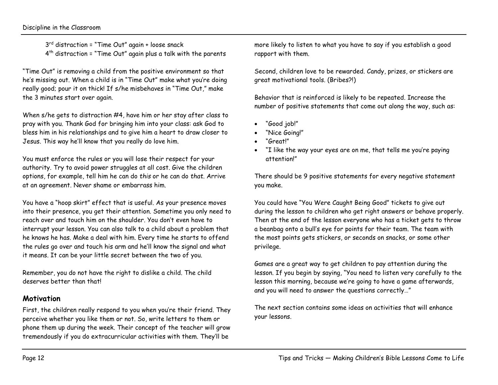#### Discipline in the Classroom

3rd distraction = "Time Out" again + loose snack  $4<sup>th</sup>$  distraction = "Time Out" again plus a talk with the parents

"Time Out" is removing a child from the positive environment so that he's missing out. When a child is in "Time Out" make what you're doing really good; pour it on thick! If s/he misbehaves in "Time Out," make the 3 minutes start over again.

When s/he gets to distraction #4, have him or her stay after class to pray with you. Thank God for bringing him into your class: ask God to bless him in his relationships and to give him a heart to draw closer to Jesus. This way he'll know that you really do love him.

You must enforce the rules or you will lose their respect for your authority. Try to avoid power struggles at all cost. Give the children options, for example, tell him he can do *this* or he can do *that*. Arrive at an agreement. Never shame or embarrass him.

You have a "hoop skirt" effect that is useful. As your presence moves into their presence, you get their attention. Sometime you only need to reach over and touch him on the shoulder. You don't even have to interrupt your lesson. You can also talk to a child about a problem that he knows he has. Make a deal with him. Every time he starts to offend the rules go over and touch his arm and he'll know the signal and what it means. It can be your little secret between the two of you.

Remember, you do not have the right to dislike a child. The child deserves better than that!

#### **Motivation**

First, the children really respond to you when you're their friend. They perceive whether you like them or not. So, write letters to them or phone them up during the week. Their concept of the teacher will grow tremendously if you do extracurricular activities with them. They'll be

more likely to listen to what you have to say if you establish a good rapport with them.

Second, children love to be rewarded. Candy, prizes, or stickers are great motivational tools. (Bribes?!)

Behavior that is reinforced is likely to be repeated. Increase the number of positive statements that come out along the way, such as:

- "Good job!"
- "Nice Going!"
- "Great!"
- "I like the way your eyes are on me, that tells me you're paying attention!"

There should be 9 positive statements for every negative statement you make.

You could have "You Were Caught Being Good" tickets to give out during the lesson to children who get right answers or behave properly. Then at the end of the lesson everyone who has a ticket gets to throw a beanbag onto a bull's eye for points for their team. The team with the most points gets stickers, or seconds on snacks, or some other privilege.

Games are a great way to get children to pay attention during the lesson. If you begin by saying, "You need to listen very carefully to the lesson this morning, because we're going to have a game afterwards, and you will need to answer the questions correctly…"

The next section contains some ideas on activities that will enhance your lessons.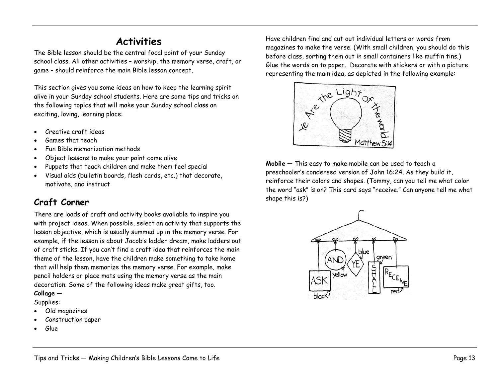## **Activities**

The Bible lesson should be the central focal point of your Sunday school class. All other activities – worship, the memory verse, craft, or game – should reinforce the main Bible lesson concept.

This section gives you some ideas on how to keep the learning spirit alive in your Sunday school students. Here are some tips and tricks on the following topics that will make your Sunday school class an exciting, loving, learning place:

- Creative craft ideas
- Games that teach
- Fun Bible memorization methods
- Object lessons to make your point come alive
- Puppets that teach children and make them feel special
- Visual aids (bulletin boards, flash cards, etc.) that decorate, motivate, and instruct

### **Craft Corner**

There are loads of craft and activity books available to inspire you with project ideas. When possible, select an activity that supports the lesson objective, which is usually summed up in the memory verse. For example, if the lesson is about Jacob's ladder dream, make ladders out of craft sticks. If you can't find a craft idea that reinforces the main theme of the lesson, have the children make something to take home that will help them memorize the memory verse. For example, make pencil holders or place mats using the memory verse as the main decoration. Some of the following ideas make great gifts, too.

#### **Collage** —

Supplies:

- Old magazines
- Construction paper
- Glue

Have children find and cut out individual letters or words from magazines to make the verse. (With small children, you should do this before class, sorting them out in small containers like muffin tins.) Glue the words on to paper. Decorate with stickers or with a picture representing the main idea, as depicted in the following example:



**Mobile** — This easy to make mobile can be used to teach a preschooler's condensed version of John 16:24. As they build it, reinforce their colors and shapes. (Tommy, can you tell me what color the word "ask" is on? This card says "receive." Can anyone tell me what shape this is?)

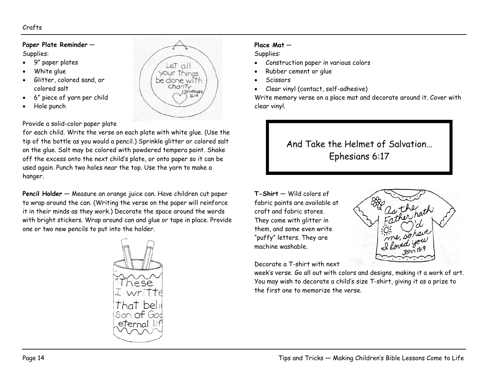#### Crafts

#### **Paper Plate Reminder** —

Supplies:

- 9" paper plates
- White glue
- Glitter, colored sand, or colored salt
- 6" piece of yarn per child
- Hole punch

#### Provide a solid-color paper plate

for each child. Write the verse on each plate with white glue. (Use the tip of the bottle as you would a pencil.) Sprinkle glitter or colored salt on the glue. Salt may be colored with powdered tempera paint. Shake off the excess onto the next child's plate, or onto paper so it can be used again. Punch two holes near the top. Use the yarn to make a hanger.

Let all your Things be done with Charity

I Corinthians  $16:14$ 

**Pencil Holder** — Measure an orange juice can. Have children cut paper to wrap around the can. (Writing the verse on the paper will reinforce it in their minds as they work.) Decorate the space around the words with bright stickers. Wrap around can and glue or tape in place. Provide one or two new pencils to put into the holder.



#### **Place Mat** —

#### Supplies:

- Construction paper in various colors
- Rubber cement or glue
- **Scissors**
- Clear vinyl (contact, self-adhesive)

Write memory verse on a place mat and decorate around it. Cover with clear vinyl.

## And Take the Helmet of Salvation… Ephesians 6:17

**T-Shirt** — Wild colors of fabric paints are available at craft and fabric stores. They come with glitter in them, and some even write "puffy" letters. They are machine washable.



Decorate a T-shirt with next

week's verse. Go all out with colors and designs, making it a work of art. You may wish to decorate a child's size T-shirt, giving it as a prize to the first one to memorize the verse.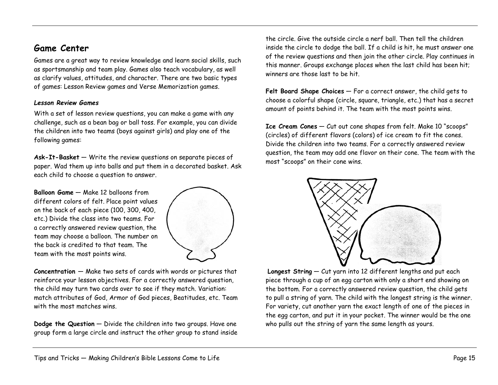### **Game Center**

Games are a great way to review knowledge and learn social skills, such as sportsmanship and team play. Games also teach vocabulary, as well as clarify values, attitudes, and character. There are two basic types of games: Lesson Review games and Verse Memorization games.

#### *Lesson Review Games*

With a set of lesson review questions, you can make a game with any challenge, such as a bean bag or ball toss. For example, you can divide the children into two teams (boys against girls) and play one of the following games:

**Ask-It-Basket** — Write the review questions on separate pieces of paper. Wad them up into balls and put them in a decorated basket. Ask each child to choose a question to answer.

**Balloon Game** — Make 12 balloons from different colors of felt. Place point values on the back of each piece (100, 300, 400, etc.) Divide the class into two teams. For a correctly answered review question, the team may choose a balloon. The number on the back is credited to that team. The team with the most points wins.



**Concentration** — Make two sets of cards with words or pictures that reinforce your lesson objectives. For a correctly answered question, the child may turn two cards over to see if they match. Variation: match attributes of God, Armor of God pieces, Beatitudes, etc. Team with the most matches wins.

**Dodge the Question** — Divide the children into two groups. Have one group form a large circle and instruct the other group to stand inside the circle. Give the outside circle a nerf ball. Then tell the children inside the circle to dodge the ball. If a child is hit, he must answer one of the review questions and then join the other circle. Play continues in this manner. Groups exchange places when the last child has been hit; winners are those last to be hit.

**Felt Board Shape Choices** — For a correct answer, the child gets to choose a colorful shape (circle, square, triangle, etc.) that has a secret amount of points behind it. The team with the most points wins.

**Ice Cream Cones** — Cut out cone shapes from felt. Make 10 "scoops" (circles) of different flavors (colors) of ice cream to fit the cones. Divide the children into two teams. For a correctly answered review question, the team may add one flavor on their cone. The team with the most "scoops" on their cone wins.



**Longest String** — Cut yarn into 12 different lengths and put each piece through a cup of an egg carton with only a short end showing on the bottom. For a correctly answered review question, the child gets to pull a string of yarn. The child with the longest string is the winner. For variety, cut another yarn the exact length of one of the pieces in the egg carton, and put it in your pocket. The winner would be the one who pulls out the string of yarn the same length as yours.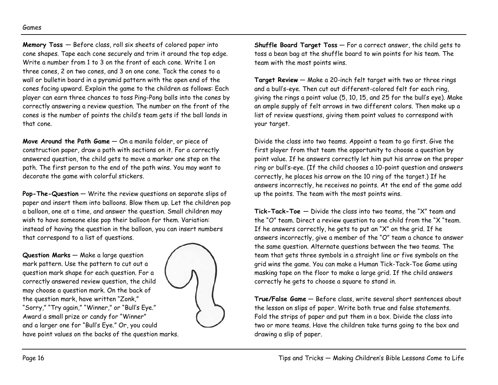**Memory Toss** — Before class, roll six sheets of colored paper into cone shapes. Tape each cone securely and trim it around the top edge. Write a number from 1 to 3 on the front of each cone. Write 1 on three cones, 2 on two cones, and 3 on one cone. Tack the cones to a wall or bulletin board in a pyramid pattern with the open end of the cones facing upward. Explain the game to the children as follows: Each player can earn three chances to toss Ping-Pong balls into the cones by correctly answering a review question. The number on the front of the cones is the number of points the child's team gets if the ball lands in that cone.

**Move Around the Path Game** — On a manila folder, or piece of construction paper, draw a path with sections on it. For a correctly answered question, the child gets to move a marker one step on the path. The first person to the end of the path wins. You may want to decorate the game with colorful stickers.

**Pop-The-Question** — Write the review questions on separate slips of paper and insert them into balloons. Blow them up. Let the children pop a balloon, one at a time, and answer the question. Small children may wish to have someone else pop their balloon for them. Variation: instead of having the question in the balloon, you can insert numbers that correspond to a list of questions.

**Question Marks** — Make a large question mark pattern. Use the pattern to cut out a question mark shape for each question. For a correctly answered review question, the child may choose a question mark. On the back of the question mark, have written "Zonk," "Sorry," "Try again," "Winner," or "Bull's Eye." Award a small prize or candy for "Winner" and a larger one for "Bull's Eye." Or, you could have point values on the backs of the question marks.



**Shuffle Board Target Toss** — For a correct answer, the child gets to toss a bean bag at the shuffle board to win points for his team. The team with the most points wins.

**Target Review** — Make a 20-inch felt target with two or three rings and a bull's-eye. Then cut out different-colored felt for each ring, giving the rings a point value (5, 10, 15, and 25 for the bull's eye). Make an ample supply of felt arrows in two different colors. Then make up a list of review questions, giving them point values to correspond with your target.

Divide the class into two teams. Appoint a team to go first. Give the first player from that team the opportunity to choose a question by point value. If he answers correctly let him put his arrow on the proper ring or bull's-eye. (If the child chooses a 10-point question and answers correctly, he places his arrow on the 10 ring of the target.) If he answers incorrectly, he receives no points. At the end of the game add up the points. The team with the most points wins.

**Tick-Tack-Toe** — Divide the class into two teams, the "X" team and the "O" team. Direct a review question to one child from the "X "team. If he answers correctly, he gets to put an "X" on the grid. If he answers incorrectly, give a member of the "O" team a chance to answer the same question. Alternate questions between the two teams. The team that gets three symbols in a straight line or five symbols on the grid wins the game. You can make a Human Tick-Tack-Toe Game using masking tape on the floor to make a large grid. If the child answers correctly he gets to choose a square to stand in.

**True/False Game** — Before class, write several short sentences about the lesson on slips of paper. Write both true and false statements. Fold the strips of paper and put them in a box. Divide the class into two or more teams. Have the children take turns going to the box and drawing a slip of paper.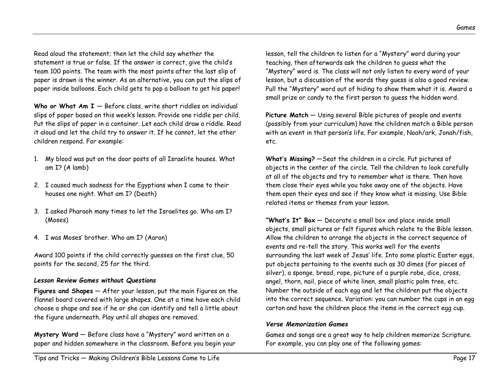Read aloud the statement; then let the child say whether the statement is true or false. If the answer is correct, give the child's team 100 points. The team with the most points after the last slip of paper is drawn is the winner. As an alternative, you can put the slips of paper inside balloons. Each child gets to pop a balloon to get his paper!

Who or What Am I – Before class, write short riddles on individual slips of paper based on this week's lesson. Provide one riddle per child. Put the slips of paper in a container. Let each child draw a riddle. Read it aloud and let the child try to answer it. If he cannot, let the other children respond. For example:

- 1. My blood was put on the door posts of all Israelite houses. What am I? (A lamb)
- 2. I caused much sadness for the Egyptians when I came to their houses one night. What am I? (Death)
- 3. I asked Pharaoh many times to let the Israelites go. Who am I? (Moses)
- 4. I was Moses' brother. Who am I? (Aaron)

Award 100 points if the child correctly guesses on the first clue, 50 points for the second, 25 for the third.

#### *Lesson Review Games without Questions*

**Figures and Shapes** — After your lesson, put the main figures on the flannel board covered with large shapes. One at a time have each child choose a shape and see if he or she can identify and tell a little about the figure underneath. Play until all shapes are removed.

**Mystery Word** — Before class have a "Mystery" word written on a paper and hidden somewhere in the classroom. Before you begin your lesson, tell the children to listen for a "Mystery" word during your teaching, then afterwards ask the children to guess what the "Mystery" word is. The class will not only listen to every word of your lesson, but a discussion of the words they guess is also a good review. Pull the "Mystery" word out of hiding to show them what it is. Award a small prize or candy to the first person to guess the hidden word.

**Picture Match** — Using several Bible pictures of people and events (possibly from your curriculum) have the children match a Bible person with an event in that person's life. For example, Noah/ark, Jonah/fish, etc.

**What's Missing?** —Seat the children in a circle. Put pictures of objects in the center of the circle. Tell the children to look carefully at all of the objects and try to remember what is there. Then have them close their eyes while you take away one of the objects. Have them open their eyes and see if they know what is missing. Use Bible related items or themes from your lesson.

**"What's It" Box** — Decorate a small box and place inside small objects, small pictures or felt figures which relate to the Bible lesson. Allow the children to arrange the objects in the correct sequence of events and re-tell the story. This works well for the events surrounding the last week of Jesus' life. Into some plastic Easter eggs, put objects pertaining to the events such as 30 dimes (for pieces of silver), a sponge, bread, rope, picture of a purple robe, dice, cross, angel, thorn, nail, piece of white linen, small plastic palm tree, etc. Number the outside of each egg and let the children put the objects into the correct sequence. Variation: you can number the cups in an egg carton and have the children place the items in the correct egg cup.

#### *Verse Memorization Games*

Games and songs are a great way to help children memorize Scripture. For example, you can play one of the following games: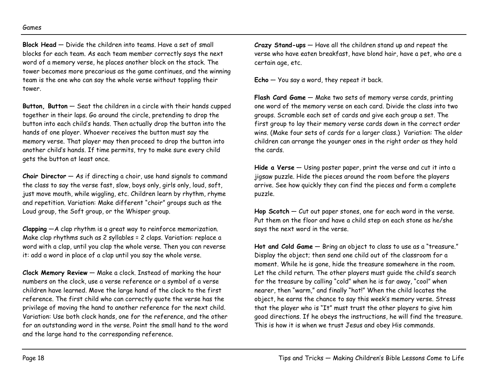**Block Head** — Divide the children into teams. Have a set of small blocks for each team. As each team member correctly says the next word of a memory verse, he places another block on the stack. The tower becomes more precarious as the game continues, and the winning team is the one who can say the whole verse without toppling their tower.

**Button, Button** — Seat the children in a circle with their hands cupped together in their laps. Go around the circle, pretending to drop the button into each child's hands. Then actually drop the button into the hands of one player. Whoever receives the button must say the memory verse. That player may then proceed to drop the button into another child's hands. If time permits, try to make sure every child gets the button at least once.

**Choir Director** — As if directing a choir, use hand signals to command the class to say the verse fast, slow, boys only, girls only, loud, soft, just move mouth, while wiggling, etc. Children learn by rhythm, rhyme and repetition. Variation: Make different "choir" groups such as the Loud group, the Soft group, or the Whisper group.

**Clapping** —A clap rhythm is a great way to reinforce memorization. Make clap rhythms such as 2 syllables = 2 claps. Variation: replace a word with a clap, until you clap the whole verse. Then you can reverse it: add a word in place of a clap until you say the whole verse.

**Clock Memory Review** — Make a clock. Instead of marking the hour numbers on the clock, use a verse reference or a symbol of a verse children have learned. Move the large hand of the clock to the first reference. The first child who can correctly quote the verse has the privilege of moving the hand to another reference for the next child. Variation: Use both clock hands, one for the reference, and the other for an outstanding word in the verse. Point the small hand to the word and the large hand to the corresponding reference.

**Crazy Stand-ups** — Have all the children stand up and repeat the verse who have eaten breakfast, have blond hair, have a pet, who are a certain age, etc.

**Echo** — You say a word, they repeat it back.

**Flash Card Game** — Make two sets of memory verse cards, printing one word of the memory verse on each card. Divide the class into two groups. Scramble each set of cards and give each group a set. The first group to lay their memory verse cards down in the correct order wins. (Make four sets of cards for a larger class.) Variation: The older children can arrange the younger ones in the right order as they hold the cards.

**Hide a Verse** — Using poster paper, print the verse and cut it into a jigsaw puzzle. Hide the pieces around the room before the players arrive. See how quickly they can find the pieces and form a complete puzzle.

**Hop Scotch** — Cut out paper stones, one for each word in the verse. Put them on the floor and have a child step on each stone as he/she says the next word in the verse.

**Hot and Cold Game** — Bring an object to class to use as a "treasure." Display the object; then send one child out of the classroom for a moment. While he is gone, hide the treasure somewhere in the room. Let the child return. The other players must guide the child's search for the treasure by calling "cold" when he is far away, "cool" when nearer, then "warm," and finally "hot!" When the child locates the object, he earns the chance to say this week's memory verse. Stress that the player who is "It" must trust the other players to give him good directions. If he obeys the instructions, he will find the treasure. This is how it is when we trust Jesus and obey His commands.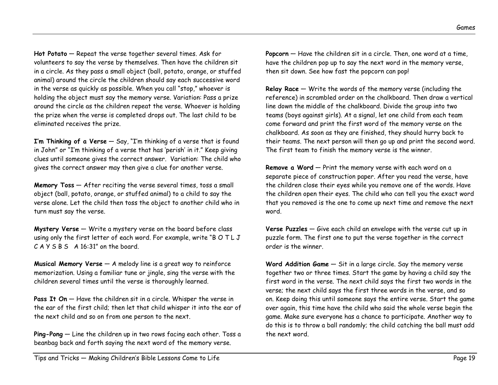**Hot Potato** — Repeat the verse together several times. Ask for volunteers to say the verse by themselves. Then have the children sit in a circle. As they pass a small object (ball, potato, orange, or stuffed animal) around the circle the children should say each successive word in the verse as quickly as possible. When you call "stop," whoever is holding the object must say the memory verse. Variation: Pass a prize around the circle as the children repeat the verse. Whoever is holding the prize when the verse is completed drops out. The last child to be eliminated receives the prize.

**I'm Thinking of a Verse** — Say, "I'm thinking of a verse that is found in John" or "I'm thinking of a verse that has 'perish' in it." Keep giving clues until someone gives the correct answer. Variation: The child who gives the correct answer may then give a clue for another verse.

**Memory Toss** — After reciting the verse several times, toss a small object (ball, potato, orange, or stuffed animal) to a child to say the verse alone. Let the child then toss the object to another child who in turn must say the verse.

**Mystery Verse** — Write a mystery verse on the board before class using only the first letter of each word. For example, write "B O T L J  $C A Y S B S A 16:31"$  on the board.

**Musical Memory Verse** — A melody line is a great way to reinforce memorization. Using a familiar tune or jingle, sing the verse with the children several times until the verse is thoroughly learned.

Pass It On – Have the children sit in a circle. Whisper the verse in the ear of the first child; then let that child whisper it into the ear of the next child and so on from one person to the next.

**Ping-Pong** — Line the children up in two rows facing each other. Toss a beanbag back and forth saying the next word of the memory verse.

**Popcorn** — Have the children sit in a circle. Then, one word at a time, have the children pop up to say the next word in the memory verse, then sit down. See how fast the popcorn can pop!

**Relay Race** — Write the words of the memory verse (including the reference) in scrambled order on the chalkboard. Then draw a vertical line down the middle of the chalkboard. Divide the group into two teams (boys against girls). At a signal, let one child from each team come forward and print the first word of the memory verse on the chalkboard. As soon as they are finished, they should hurry back to their teams. The next person will then go up and print the second word. The first team to finish the memory verse is the winner.

**Remove a Word** — Print the memory verse with each word on a separate piece of construction paper. After you read the verse, have the children close their eyes while you remove one of the words. Have the children open their eyes. The child who can tell you the exact word that you removed is the one to come up next time and remove the next word.

**Verse Puzzles** — Give each child an envelope with the verse cut up in puzzle form. The first one to put the verse together in the correct order is the winner.

**Word Addition Game** — Sit in a large circle. Say the memory verse together two or three times. Start the game by having a child say the first word in the verse. The next child says the first two words in the verse; the next child says the first three words in the verse, and so on. Keep doing this until someone says the entire verse. Start the game over again, this time have the child who said the whole verse begin the game. Make sure everyone has a chance to participate. Another way to do this is to throw a ball randomly; the child catching the ball must add the next word.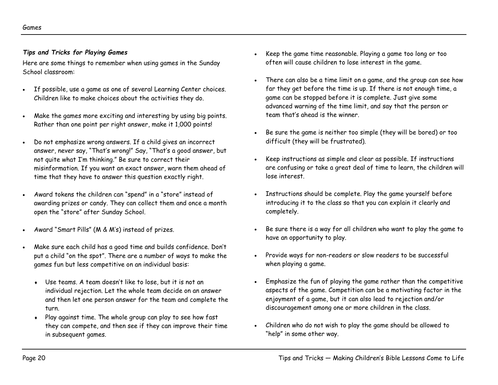#### *Tips and Tricks for Playing Games*

Here are some things to remember when using games in the Sunday School classroom:

- If possible, use a game as one of several Learning Center choices. Children like to make choices about the activities they do.
- Make the games more exciting and interesting by using big points. Rather than one point per right answer, make it 1,000 points!
- Do not emphasize wrong answers. If a child gives an incorrect answer, never say, "That's wrong!" Say, "That's a good answer, but not quite what I'm thinking." Be sure to correct their misinformation. If you want an exact answer, warn them ahead of time that they have to answer this question exactly right.
- Award tokens the children can "spend" in a "store" instead of awarding prizes or candy. They can collect them and once a month open the "store" after Sunday School.
- Award "Smart Pills" (M & M's) instead of prizes.
- Make sure each child has a good time and builds confidence. Don't put a child "on the spot". There are a number of ways to make the games fun but less competitive on an individual basis:
	- Use teams. A team doesn't like to lose, but it is not an individual rejection. Let the whole team decide on an answer and then let one person answer for the team and complete the turn.
	- Play against time. The whole group can play to see how fast they can compete, and then see if they can improve their time in subsequent games.
- Keep the game time reasonable. Playing a game too long or too often will cause children to lose interest in the game.
- There can also be a time limit on a game, and the group can see how far they get before the time is up. If there is not enough time, a game can be stopped before it is complete. Just give some advanced warning of the time limit, and say that the person or team that's ahead is the winner.
- Be sure the game is neither too simple (they will be bored) or too difficult (they will be frustrated).
- Keep instructions as simple and clear as possible. If instructions are confusing or take a great deal of time to learn, the children will lose interest.
- Instructions should be complete. Play the game yourself before introducing it to the class so that you can explain it clearly and completely.
- Be sure there is a way for all children who want to play the game to have an opportunity to play.
- Provide ways for non-readers or slow readers to be successful when playing a game.
- Emphasize the fun of playing the game rather than the competitive aspects of the game. Competition can be a motivating factor in the enjoyment of a game, but it can also lead to rejection and/or discouragement among one or more children in the class.
- Children who do not wish to play the game should be allowed to "help" in some other way.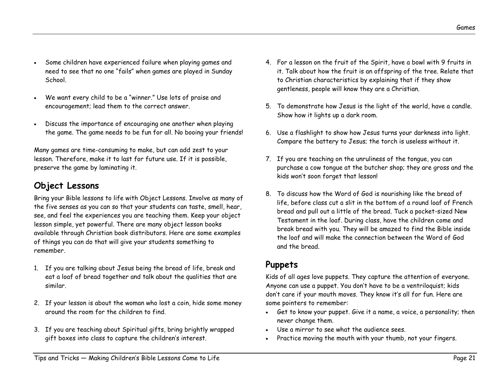- Some children have experienced failure when playing games and need to see that no one "fails" when games are played in Sunday School.
- We want every child to be a "winner." Use lots of praise and encouragement; lead them to the correct answer.
- Discuss the importance of encouraging one another when playing the game. The game needs to be fun for all. No booing your friends!

Many games are time-consuming to make, but can add zest to your lesson. Therefore, make it to last for future use. If it is possible, preserve the game by laminating it.

### **Object Lessons**

Bring your Bible lessons to life with Object Lessons. Involve as many of the five senses as you can so that your students can taste, smell, hear, see, and feel the experiences you are teaching them. Keep your object lesson simple, yet powerful. There are many object lesson books available through Christian book distributors. Here are some examples of things you can do that will give your students something to remember.

- 1. If you are talking about Jesus being the bread of life, break and eat a loaf of bread together and talk about the qualities that are similar.
- 2. If your lesson is about the woman who lost a coin, hide some money around the room for the children to find.
- 3. If you are teaching about Spiritual gifts, bring brightly wrapped gift boxes into class to capture the children's interest.
- 4. For a lesson on the fruit of the Spirit, have a bowl with 9 fruits in it. Talk about how the fruit is an offspring of the tree. Relate that to Christian characteristics by explaining that if they show gentleness, people will know they are a Christian.
- 5. To demonstrate how Jesus is the light of the world, have a candle. Show how it lights up a dark room.
- 6. Use a flashlight to show how Jesus turns your darkness into light. Compare the battery to Jesus; the torch is useless without it.
- 7. If you are teaching on the unruliness of the tongue, you can purchase a cow tongue at the butcher shop; they are gross and the kids won't soon forget that lesson!
- 8. To discuss how the Word of God is nourishing like the bread of life, before class cut a slit in the bottom of a round loaf of French bread and pull out a little of the bread. Tuck a pocket-sized New Testament in the loaf. During class, have the children come and break bread with you. They will be amazed to find the Bible inside the loaf and will make the connection between the Word of God and the bread.

### **Puppets**

Kids of all ages love puppets. They capture the attention of everyone. Anyone can use a puppet. You don't have to be a ventriloquist; kids don't care if your mouth moves. They know it's all for fun. Here are some pointers to remember:

- Get to know your puppet. Give it a name, a voice, a personality; then never change them.
- Use a mirror to see what the audience sees.
- Practice moving the mouth with your thumb, not your fingers.